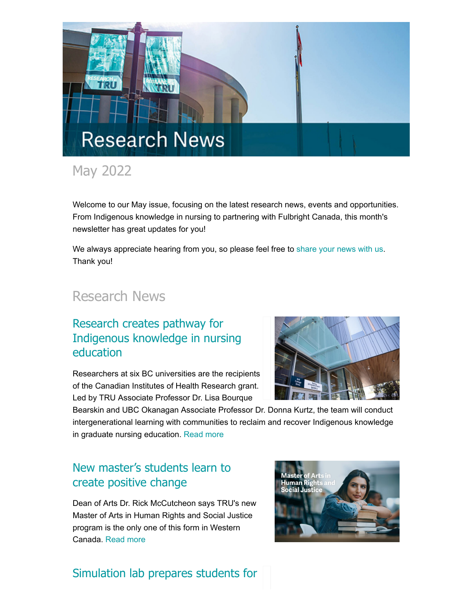

# May 2022

Welcome to our May issue, focusing on the latest research news, events and opportunities. From Indigenous knowledge in nursing to partnering with Fulbright Canada, this month's newsletter has great updates for you!

We always appreciate hearing from you, so please feel free to [share your news with us](mailto:research@tru.ca). Thank you!

# Research News

# Research creates pathway for [Indigenous knowledge in nursing](http://inside.tru.ca/2022/05/12/research-creates-pathway-for-indigenous-knowledge-in-nursing-education/) education

Researchers at six BC universities are the recipients of the Canadian Institutes of Health Research grant. Led by TRU Associate Professor Dr. Lisa Bourque

Bearskin and UBC Okanagan Associate Professor Dr. Donna Kurtz, the team will conduct intergenerational learning with communities to reclaim and recover Indigenous knowledge in graduate nursing education. [Read more](http://inside.tru.ca/2022/05/12/research-creates-pathway-for-indigenous-knowledge-in-nursing-education/)

# [New master's students learn to](http://inside.tru.ca/2022/05/11/new-masters-grads-learn-to-create-positive-change/) create positive change

Dean of Arts Dr. Rick McCutcheon says TRU's new Master of Arts in Human Rights and Social Justice program is the only one of this form in Western Canada. [Read more](http://inside.tru.ca/2022/05/11/new-masters-grads-learn-to-create-positive-change/)



# [Simulation lab prepares students for](http://inside.tru.ca/2022/05/09/simulation-lab-prepares-students-for-real-world/)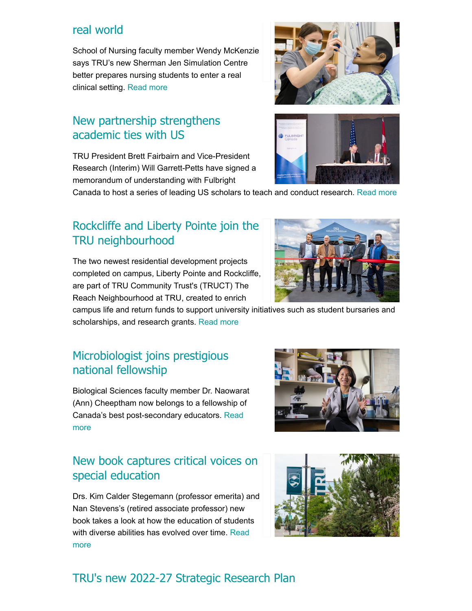#### [real world](http://inside.tru.ca/2022/05/09/simulation-lab-prepares-students-for-real-world/)

School of Nursing faculty member Wendy McKenzie says TRU's new Sherman Jen Simulation Centre better prepares nursing students to enter a real clinical setting. [Read more](http://inside.tru.ca/2022/05/09/simulation-lab-prepares-students-for-real-world/)

# [New partnership strengthens](http://inside.tru.ca/2022/05/06/new-partnership-strengthens-academic-ties-with-us/) academic ties with US

TRU President Brett Fairbairn and Vice-President Research (Interim) Will Garrett-Petts have signed a memorandum of understanding with Fulbright

Canada to host a series of leading US scholars to teach and conduct research. [Read more](http://inside.tru.ca/2022/05/06/new-partnership-strengthens-academic-ties-with-us/)

# [Rockcliffe and Liberty Pointe join the](http://inside.tru.ca/2022/05/06/rockcliffe-and-liberty-pointe-join-the-tru-neighbourhood/) TRU neighbourhood

The two newest residential development projects completed on campus, Liberty Pointe and Rockcliffe, are part of TRU Community Trust's (TRUCT) The Reach Neighbourhood at TRU, created to enrich

campus life and return funds to support university initiatives such as student bursaries and scholarships, and research grants. [Read more](http://inside.tru.ca/2022/05/06/rockcliffe-and-liberty-pointe-join-the-tru-neighbourhood/)

## [Microbiologist joins prestigious](http://inside.tru.ca/2022/05/03/microbiologist-joins-prestigious-national-fellowship/) national fellowship

Biological Sciences faculty member Dr. Naowarat (Ann) Cheeptham now belongs to a fellowship of [Canada's best post-secondary educators.](http://inside.tru.ca/2022/05/03/microbiologist-joins-prestigious-national-fellowship/) Read more

## [New book captures critical voices on](http://inside.tru.ca/2022/04/28/new-book-captures-critical-voices-on-special-education/) special education

Drs. Kim Calder Stegemann (professor emerita) and Nan Stevens's (retired associate professor) new book takes a look at how the education of students [with diverse abilities has evolved over time.](http://inside.tru.ca/2022/04/28/new-book-captures-critical-voices-on-special-education/) Read more

# [TRU's new 2022-27 Strategic Research Plan](https://www.tru.ca/research.html)









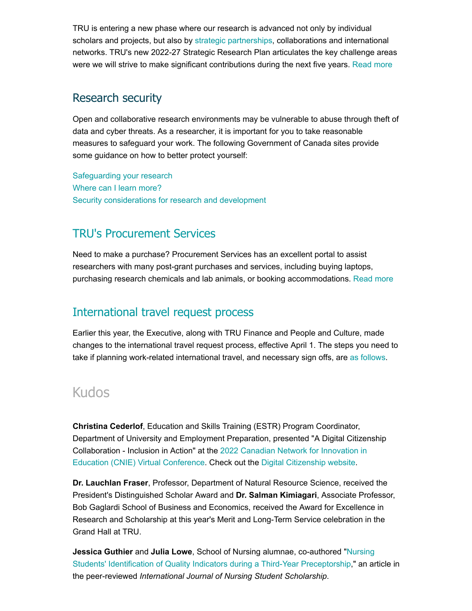TRU is entering a new phase where our research is advanced not only by individual scholars and projects, but also by [strategic partnerships](https://www.tru.ca/research/partnerships.html), collaborations and international networks. TRU's new 2022-27 Strategic Research Plan articulates the key challenge areas were we will strive to make significant contributions during the next five years. [Read more](https://www.tru.ca/research.html)

#### Research security

Open and collaborative research environments may be vulnerable to abuse through theft of data and cyber threats. As a researcher, it is important for you to take reasonable measures to safeguard your work. The following Government of Canada sites provide some guidance on how to better protect yourself:

[Safeguarding your research](https://www.ic.gc.ca/eic/site/063.nsf/eng/h_97955.html) [Where can I learn more?](https://science.gc.ca/eic/site/063.nsf/eng/h_98282.html) [Security considerations for research and development](https://www.cyber.gc.ca/en/guidance/security-considerations-research-and-development-itsap00130)

### [TRU's Procurement Services](https://onetru.sharepoint.com/sites/procurement)

Need to make a purchase? Procurement Services has an excellent portal to assist researchers with many post-grant purchases and services, including buying laptops, purchasing research chemicals and lab animals, or booking accommodations. [Read more](https://onetru.sharepoint.com/sites/procurement)

### [International travel request process](https://bit.ly/3NEqenN)

Earlier this year, the Executive, along with TRU Finance and People and Culture, made changes to the international travel request process, effective April 1. The steps you need to take if planning work-related international travel, and necessary sign offs, are [as follows](https://bit.ly/3NEqenN).

# Kudos

**Christina Cederlof**, Education and Skills Training (ESTR) Program Coordinator, Department of University and Employment Preparation, presented "A Digital Citizenship [Collaboration - Inclusion in Action" at the 2022 Canadian Network for Innovation in](https://e.cnie-rcie.ca/wp-content/uploads/sites/12/2022/04/2022_CNIE_ProgAllDays_20220428.pdf) Education (CNIE) Virtual Conference. Check out the [Digital Citizenship website](https://digital-citizen.trubox.ca/).

**Dr. Lauchlan Fraser**, Professor, Department of Natural Resource Science, received the President's Distinguished Scholar Award and **Dr. Salman Kimiagari**, Associate Professor, Bob Gaglardi School of Business and Economics, received the Award for Excellence in Research and Scholarship at this year's Merit and Long-Term Service celebration in the Grand Hall at TRU.

**Jessica Guthier** and **Julia Lowe**, School of Nursing alumnae, co-authored "Nursing [Students' Identification of Quality Indicators during a Third-Year Preceptorship," an ar](https://journalhosting.ucalgary.ca/index.php/ijnss/article/view/75226)ticle in the peer-reviewed *International Journal of Nursing Student Scholarship*.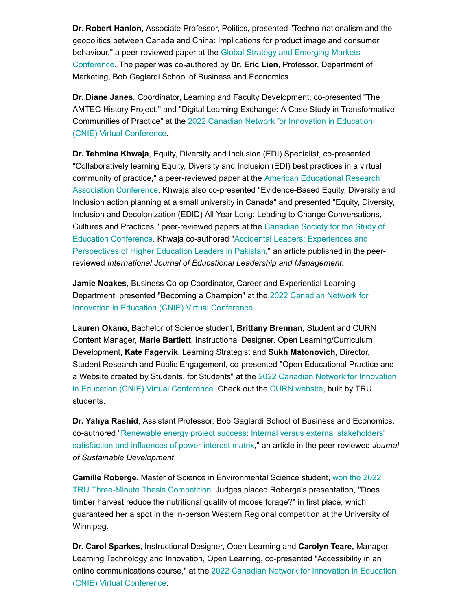**Dr. Robert Hanlon**, Associate Professor, Politics, presented "Techno-nationalism and the geopolitics between Canada and China: Implications for product image and consumer [behaviour," a peer-reviewed paper at the Global Strategy and Emerging Markets](https://beedie.sfu.ca/6th-global-strategy-and-emerging-markets-conference) Conference. The paper was co-authored by **Dr. Eric Lien**, Professor, Department of Marketing, Bob Gaglardi School of Business and Economics.

**Dr. Diane Janes**, Coordinator, Learning and Faculty Development, co-presented "The AMTEC History Project," and "Digital Learning Exchange: A Case Study in Transformative [Communities of Practice" at the 2022 Canadian Network for Innovation in Education](https://e.cnie-rcie.ca/wp-content/uploads/sites/12/2022/04/2022_CNIE_ProgAllDays_20220428.pdf) (CNIE) Virtual Conference.

**Dr. Tehmina Khwaja**, Equity, Diversity and Inclusion (EDI) Specialist, co-presented "Collaboratively learning Equity, Diversity and Inclusion (EDI) best practices in a virtual [community of practice," a peer-reviewed paper at the American Educational Research](https://www.aera.net/Events-Meetings/2022-Annual-Meeting) Association Conference. Khwaja also co-presented "Evidence-Based Equity, Diversity and Inclusion action planning at a small university in Canada" and presented "Equity, Diversity, Inclusion and Decolonization (EDID) All Year Long: Leading to Change Conversations, Cultures and Practices," peer-reviewed papers at the Canadian Society for the Study of [Education Conference. Khwaja co-authored "Accidental Leaders: Experiences and](https://csse-scee.ca/) [Perspectives of Higher Education Leaders in Pakistan," an article published in the p](https://www.hipatiapress.com/hpjournals/index.php/ijelm/article/view/8440)eerreviewed *International Journal of Educational Leadership and Management*.

**Jamie Noakes**, Business Co-op Coordinator, Career and Experiential Learning [Department, presented "Becoming a Champion" at the 2022 Canadian Network for](https://e.cnie-rcie.ca/wp-content/uploads/sites/12/2022/04/2022_CNIE_ProgAllDays_20220428.pdf) Innovation in Education (CNIE) Virtual Conference.

**Lauren Okano,** Bachelor of Science student, **Brittany Brennan,** Student and CURN Content Manager, **Marie Bartlett**, Instructional Designer, Open Learning/Curriculum Development, **Kate Fagervik**, Learning Strategist and **Sukh Matonovich**, Director, Student Research and Public Engagement, co-presented "Open Educational Practice and a Website created by Students, for Students" at the 2022 Canadian Network for Innovation [in Education \(CNIE\) Virtual Conference. Check out the](https://e.cnie-rcie.ca/wp-content/uploads/sites/12/2022/04/2022_CNIE_ProgAllDays_20220428.pdf) [CURN website](https://curn.trubox.ca/), built by TRU students.

**Dr. Yahya Rashid**, Assistant Professor, Bob Gaglardi School of Business and Economics, [co-authored "Renewable energy project success: Internal versus external stakeholders'](https://onlinelibrary.wiley.com/doi/10.1002/sd.2327?af=R) satisfaction and influences of power-interest matrix," an article in the peer-reviewed *Journal of Sustainable Development*.

**Camille Roberge**, Master of Science in Environmental Science student, won the 2022 [TRU Three-Minute Thesis Competition. Judges placed Roberge's presentation, "Does](https://www.kamloopsthisweek.com/community/roberge-wins-2022-tru-three-minute-thesis-competition-5307335) timber harvest reduce the nutritional quality of moose forage?" in first place, which guaranteed her a spot in the in-person Western Regional competition at the University of Winnipeg.

**Dr. Carol Sparkes**, Instructional Designer, Open Learning and **Carolyn Teare,** Manager, Learning Technology and Innovation, Open Learning, co-presented "Accessibility in an [online communications course," at the 2022 Canadian Network for Innovation in Education](https://e.cnie-rcie.ca/wp-content/uploads/sites/12/2022/04/2022_CNIE_ProgAllDays_20220428.pdf) (CNIE) Virtual Conference.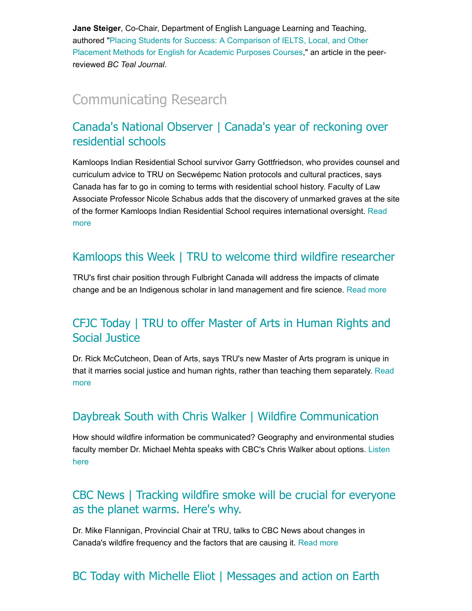**Jane Steiger**, Co-Chair, Department of English Language Learning and Teaching, authored "Placing Students for Success: A Comparison of IELTS, Local, and Other [Placement Methods for English for Academic Purposes Courses," an article in the p](https://ojs-o.library.ubc.ca/index.php/BCTJ/article/view/451)eerreviewed *BC Teal Journal*.

# [Communicating Research](https://inside.tru.ca/tru.ca/experts)

#### [Canada's National Observer | Canada's year of reckoning over](https://www.nationalobserver.com/2022/05/18/news/canadas-year-reckoning-residential-schools) residential schools

Kamloops Indian Residential School survivor Garry Gottfriedson, who provides counsel and curriculum advice to TRU on Secwépemc Nation protocols and cultural practices, says Canada has far to go in coming to terms with residential school history. Faculty of Law Associate Professor Nicole Schabus adds that the discovery of unmarked graves at the site [of the former Kamloops Indian Residential School requires international oversight. Read](https://www.nationalobserver.com/2022/05/18/news/canadas-year-reckoning-residential-schools) more

#### [Kamloops this Week | TRU to welcome third wildfire researcher](https://www.kamloopsthisweek.com/community/tru-to-welcome-third-wildfire-researcher-5375359)

TRU's first chair position through Fulbright Canada will address the impacts of climate change and be an Indigenous scholar in land management and fire science. [Read more](https://www.kamloopsthisweek.com/community/tru-to-welcome-third-wildfire-researcher-5375359)

### [CFJC Today | TRU to offer Master of Arts in Human Rights and](https://cfjctoday.com/2022/05/13/tru-to-offer-master-of-arts-in-human-rights-and-social-justice/#.Yn6MGq_imnY.twitter) Social Justice

Dr. Rick McCutcheon, Dean of Arts, says TRU's new Master of Arts program is unique in [that it marries social justice and human rights, rather than teaching them separately. Read](https://cfjctoday.com/2022/05/13/tru-to-offer-master-of-arts-in-human-rights-and-social-justice/#.Yn6MGq_imnY.twitter) more

#### [Daybreak South with Chris Walker | Wildfire Communication](https://www.cbc.ca/listen/live-radio/1-110-daybreak-south/clip/15910470-cost-cannabis-decreasing-theme-song-midlife-crisis-canadian)

How should wildfire information be communicated? Geography and environmental studies [faculty member Dr. Michael Mehta speaks with CBC's Chris Walker about options. Listen](https://www.cbc.ca/listen/live-radio/1-110-daybreak-south/clip/15910470-cost-cannabis-decreasing-theme-song-midlife-crisis-canadian) here

#### [CBC News | Tracking wildfire smoke will be crucial for everyone](https://bit.ly/38r2PYn) as the planet warms. Here's why.

Dr. Mike Flannigan, Provincial Chair at TRU, talks to CBC News about changes in Canada's wildfire frequency and the factors that are causing it. [Read more](https://bit.ly/38r2PYn)

### [BC Today with Michelle Eliot |](https://www.cbc.ca/listen/live-radio/1-4-bc-today/clip/15908179-messages-action-earth-day-master-gardener-brian-minter) [Messages and action on Earth](https://www.cbc.ca/listen/live-radio/1-4-bc-today/clip/15908179-messages-action-earth-day-master-gardener-brian-minter)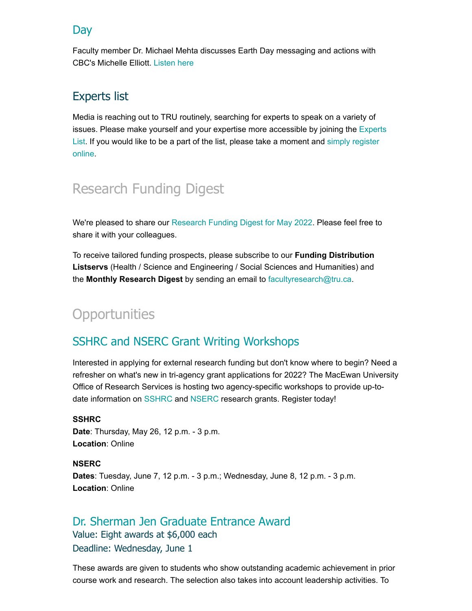#### [Day](https://www.cbc.ca/listen/live-radio/1-4-bc-today/clip/15908179-messages-action-earth-day-master-gardener-brian-minter)

Faculty member Dr. Michael Mehta discusses Earth Day messaging and actions with CBC's Michelle Elliott. [Listen here](https://www.cbc.ca/listen/live-radio/1-4-bc-today/clip/15908179-messages-action-earth-day-master-gardener-brian-minter)

#### Experts list

Media is reaching out to TRU routinely, searching for experts to speak on a variety of [issues. Please make yourself and your expertise more accessible by joining the Experts](https://inside.tru.ca/find-an-expert/) [List. If you would like to be a part of the list, please](https://inside.tru.ca/find-an-expert/experts-registration-update/) take a moment and simply register online.

# Research Funding Digest

We're pleased to share our [Research Funding Digest for May 2022.](https://bit.ly/3wqmcdd) Please feel free to share it with your colleagues.

To receive tailored funding prospects, please subscribe to our **Funding Distribution Listservs** (Health / Science and Engineering / Social Sciences and Humanities) and the **Monthly Research Digest** by sending an email to [facultyresearch@tru.ca.](mailto:facultyresearch@tru.ca)

# **Opportunities**

#### [SSHRC and NSERC Grant Writing Workshops](https://www.macewan.ca/about-macewan/research/news-events/)

Interested in applying for external research funding but don't know where to begin? Need a refresher on what's new in tri-agency grant applications for 2022? The MacEwan University Office of Research Services is hosting two agency-specific workshops to provide up-todate information on [SSHRC](https://inside.tru.ca/events/event/workshop-sshrc-grant-writing/) and [NSERC](https://inside.tru.ca/events/event/virtual-workshop-nserc-grant-writing-2/) research grants. Register today!

#### **SSHRC**

**Date**: Thursday, May 26, 12 p.m. - 3 p.m. **Location**: Online

**NSERC Dates**: Tuesday, June 7, 12 p.m. - 3 p.m.; Wednesday, June 8, 12 p.m. - 3 p.m. **Location**: Online

#### [Dr. Sherman Jen Graduate Entrance Award](https://www.tru.ca/awards/awards/graduate.html#gradentrance) Value: Eight awards at \$6,000 each Deadline: Wednesday, June 1

These awards are given to students who show outstanding academic achievement in prior course work and research. The selection also takes into account leadership activities. To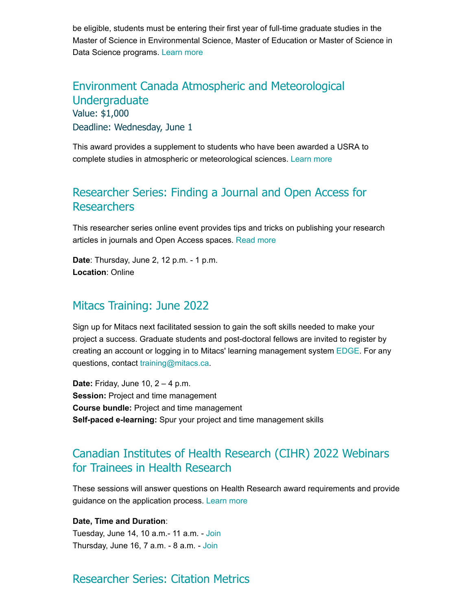be eligible, students must be entering their first year of full-time graduate studies in the Master of Science in Environmental Science, Master of Education or Master of Science in Data Science programs. [Learn more](https://www.tru.ca/awards/awards/graduate.html#gradentrance)

[Environment Canada Atmospheric and Meteorological](https://www.tru.ca/research/undergraduate-research/undergraduate-research-opportunities.html) Undergraduate Value: \$1,000 Deadline: Wednesday, June 1

This award provides a supplement to students who have been awarded a USRA to complete studies in atmospheric or meteorological sciences. [Learn more](https://www.tru.ca/research/undergraduate-research/undergraduate-research-opportunities.html)

#### [Researcher Series: Finding a Journal and Open Access for](http://inside.tru.ca/events/event/researcher-series-finding-a-journal-and-open-access-for-researchers/) **Researchers**

This researcher series online event provides tips and tricks on publishing your research articles in journals and Open Access spaces. [Read more](http://inside.tru.ca/events/event/researcher-series-finding-a-journal-and-open-access-for-researchers/)

**Date**: Thursday, June 2, 12 p.m. - 1 p.m. **Location**: Online

#### [Mitacs Training: June 2022](https://bit.ly/3K1ao4s)

Sign up for Mitacs next facilitated session to gain the soft skills needed to make your project a success. Graduate students and post-doctoral fellows are invited to register by creating an account or logging in to Mitacs' learning management system [EDGE](https://edge-reg.mitacs.ca/). For any questions, contact [training@mitacs.ca](mailto:training@mitacs.ca).

**Date:** Friday, June 10, 2 – 4 p.m. **Session: Project and time management Course bundle:** Project and time management **Self-paced e-learning:** Spur your project and time management skills

### [Canadian Institutes of Health Research \(CIHR\) 2022 Webinars](https://cihr-irsc.gc.ca/e/45096.html) for Trainees in Health Research

These sessions will answer questions on Health Research award requirements and provide guidance on the application process. [Learn more](https://cihr-irsc.gc.ca/e/45096.html)

#### **Date, Time and Duration**:

Tuesday, June 14, 10 a.m.- 11 a.m. - [Join](https://teams.microsoft.com/dl/launcher/launcher.html?url=%2F_%23%2Fl%2Fmeetup-join%2F19%3Ameeting_NzVkZTNjYzgtZDM2NC00N2I2LTk4YjItMDQzZjYwZDI4ODcz%40thread.v2%2F0%3Fcontext%3D%257b%2522Tid%2522%253a%25221ebfccd6-7d44-4806-8ffc-bb521f3acc24%2522%252c%2522Oid%2522%253a%2522e2281469-0feb-4e1b-be33-8bca65793340%2522%252c%2522IsBroadcastMeeting%2522%253atrue%257d%26btype%3Da%26role%3Da%26anon%3Dtrue&type=meetup-join&deeplinkId=3e04883b-763b-45c8-a2ee-16c83a483f97&directDl=true&msLaunch=true&enableMobilePage=true&suppressPrompt=true) Thursday, June 16, 7 a.m. - 8 a.m. - [Join](https://teams.microsoft.com/dl/launcher/launcher.html?url=%2F_%23%2Fl%2Fmeetup-join%2F19%3Ameeting_OWRlNWZlYzItNzQ2Mi00YjcwLWJkMmItODNhMTFmMmQ5YzBj%40thread.v2%2F0%3Fcontext%3D%257b%2522Tid%2522%253a%25221ebfccd6-7d44-4806-8ffc-bb521f3acc24%2522%252c%2522Oid%2522%253a%2522e2281469-0feb-4e1b-be33-8bca65793340%2522%252c%2522IsBroadcastMeeting%2522%253atrue%257d%26btype%3Da%26role%3Da%26anon%3Dtrue&type=meetup-join&deeplinkId=da8bab66-5698-470e-b711-a93c915cd796&directDl=true&msLaunch=true&enableMobilePage=true&suppressPrompt=true)

#### [Researcher Series: Citation Metrics](http://inside.tru.ca/events/event/researcher-series-citation-metrics/)